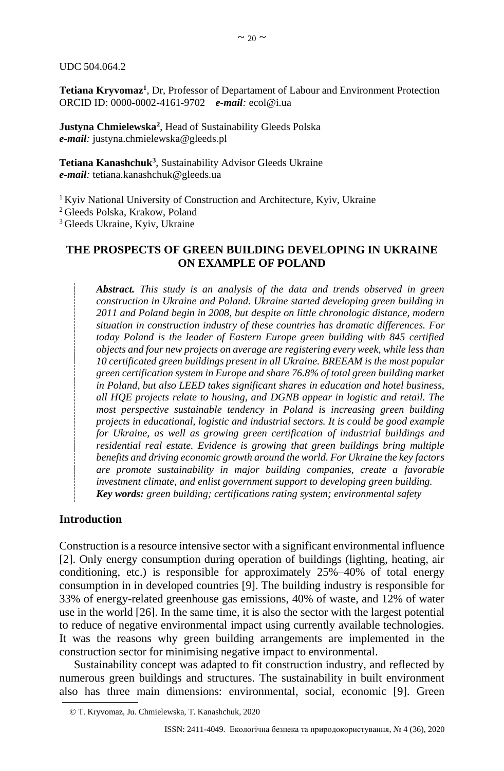UDC 504.064.2

**Тetiana Kryvomaz<sup>1</sup>** , Dr, Professor of Departament of Labour and Environment Protection ORCID ID: 0000-0002-4161-9702 *e-mail:* ecol@i.ua

**Justyna Chmielewska<sup>2</sup>** , Head of Sustainability Gleeds Polska *e-mail:* justyna.chmielewska@gleeds.pl

**Tetiana Kanashchuk<sup>3</sup>** , Sustainability Advisor Gleeds Ukraine *e-mail:* tetiana.kanashchuk@gleeds.ua

<sup>1</sup> Kyiv National University of Construction and Architecture, Kyiv, Ukraine

<sup>2</sup> Gleeds Polska, Krakow, Poland

<sup>3</sup> Gleeds Ukraine, Kyiv, Ukraine

## **THE PROSPECTS OF GREEN BUILDING DEVELOPING IN UKRAINE ON EXAMPLE OF POLAND**

*Abstract. This study is an analysis of the data and trends observed in green construction in Ukraine and Poland. Ukraine started developing green building in 2011 and Poland begin in 2008, but despite on little chronologic distance, modern situation in construction industry of these countries has dramatic differences. For today Poland is the leader of Eastern Europe green building with 845 certified objects and four new projects on average are registering every week, while less than 10 certificated green buildings present in all Ukraine. BREEAM is the most popular green certification system in Europe and share 76.8% of total green building market in Poland, but also LEED takes significant shares in education and hotel business, all HQE projects relate to housing, and DGNB appear in logistic and retail. The most perspective sustainable tendency in Poland is increasing green building projects in educational, logistic and industrial sectors. It is could be good example for Ukraine, as well as growing green certification of industrial buildings and residential real estate. Evidence is growing that green buildings bring multiple benefits and driving economic growth around the world. For Ukraine the key factors are promote sustainability in major building companies, create a favorable investment climate, and enlist government support to developing green building. Key words: green building; certifications rating system; environmental safety*

### **Introduction**

Construction is a resource intensive sector with a significant environmental influence [\[2\]](#page-9-0). Only energy consumption during operation of buildings (lighting, heating, air conditioning, etc.) is responsible for approximately 25%–40% of total energy consumption in in developed countries [\[9\]](#page-9-1). The building industry is responsible for 33% of energy-related greenhouse gas emissions, 40% of waste, and 12% of water use in the world [\[26\]](#page-10-0). In the same time, it is also the sector with the largest potential to reduce of negative environmental impact using currently available technologies. It was the reasons why green building arrangements are implemented in the construction sector for minimising negative impact to environmental.

Sustainability concept was adapted to fit construction industry, and reflected by numerous green buildings and structures. The sustainability in built environment also has three main dimensions: environmental, social, economic [\[9\]](#page-9-1). Green

<sup>©</sup> Т. Kryvomaz, Ju. Chmielewska, T. Kanashchuk, 2020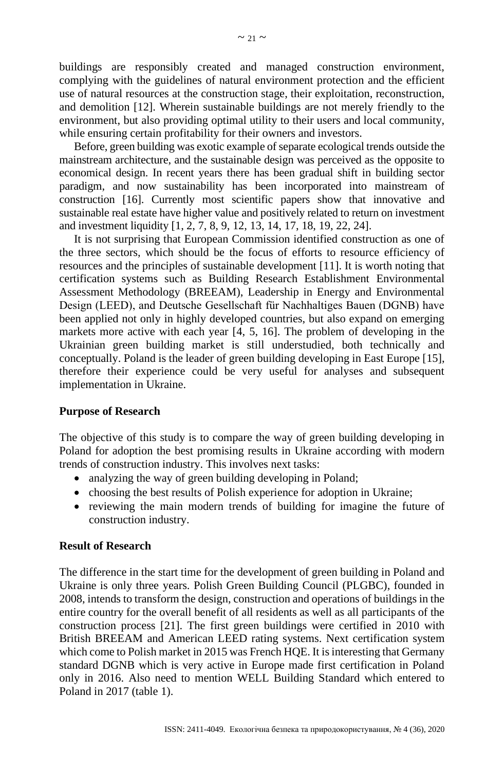buildings are responsibly created and managed construction environment, complying with the guidelines of natural environment protection and the efficient use of natural resources at the construction stage, their exploitation, reconstruction, and demolition [\[12\]](#page-10-1). Wherein sustainable buildings are not merely friendly to the environment, but also providing optimal utility to their users and local community, while ensuring certain profitability for their owners and investors.

Before, green building was exotic example of separate ecological trends outside the mainstream architecture, and the sustainable design was perceived as the opposite to economical design. In recent years there has been gradual shift in building sector paradigm, and now sustainability has been incorporated into mainstream of construction [16]. Currently most scientific papers show that innovative and sustainable real estate have higher value and positively related to return on investment and investment liquidity [\[1,](#page-9-2) [2,](#page-9-0) [7,](#page-9-3) [8,](#page-9-4) [9,](#page-9-1) [12,](#page-10-1) 13, 14, [17,](#page-10-2) [18,](#page-10-3) [19,](#page-10-4) [22,](#page-10-5) [24\]](#page-10-6).

It is not surprising that European Commission identified construction as one of the three sectors, which should be the focus of efforts to resource efficiency of resources and the principles of sustainable development [\[11\]](#page-9-5). It is worth noting that certification systems such as Building Research Establishment Environmental Assessment Methodology (BREEAM), Leadership in Energy and Environmental Design (LEED), and Deutsche Gesellschaft für Nachhaltiges Bauen (DGNB) have been applied not only in highly developed countries, but also expand on emerging markets more active with each year [\[4,](#page-9-6) [5,](#page-9-7) [16\]](#page-10-7). The problem of developing in the Ukrainian green building market is still understudied, both technically and conceptually. Poland is the leader of green building developing in East Europe [\[15\]](#page-10-8), therefore their experience could be very useful for analyses and subsequent implementation in Ukraine.

## **Purpose of Research**

The objective of this study is to compare the way of green building developing in Poland for adoption the best promising results in Ukraine according with modern trends of construction industry. This involves next tasks:

- analyzing the way of green building developing in Poland;
- choosing the best results of Polish experience for adoption in Ukraine;
- reviewing the main modern trends of building for imagine the future of construction industry.

# **Result of Research**

The difference in the start time for the development of green building in Poland and Ukraine is only three years. Polish Green Building Council (PLGBC), founded in 2008, intends to transform the design, construction and operations of buildings in the entire country for the overall benefit of all residents as well as all participants of the construction process [\[21\]](#page-10-9). The first green buildings were certified in 2010 with British BREEAM and American LEED rating systems. Next certification system which come to Polish market in 2015 was French HQE. It is interesting that Germany standard DGNB which is very active in Europe made first certification in Poland only in 2016. Also need to mention WELL Building Standard which entered to Poland in 2017 (table 1).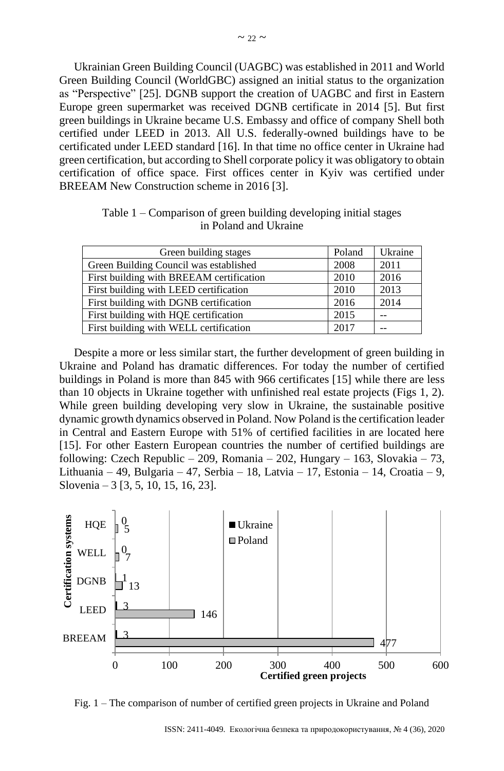Ukrainian Green Building Council (UAGBC) was established in 2011 and World Green Building Council (WorldGBC) assigned an initial status to the organization as "Perspective" [\[25\]](#page-10-10). DGNB support the creation of UAGBC and first in Eastern Europe green supermarket was received DGNB certificate in 2014 [\[5\]](#page-9-7). But first green buildings in Ukraine became U.S. Embassy and office of company Shell both certified under LEED in 2013. All U.S. federally-owned buildings have to be certificated under LEED standard [16]. In that time no office center in Ukraine had green certification, but according to Shell corporate policy it was obligatory to obtain certification of office space. First offices center in Kyiv was certified under BREEAM New Construction scheme in 2016 [3].

| Table $1$ – Comparison of green building developing initial stages |  |
|--------------------------------------------------------------------|--|
| in Poland and Ukraine                                              |  |

| Green building stages                    | Poland | Ukraine |
|------------------------------------------|--------|---------|
| Green Building Council was established   | 2008   | 2011    |
| First building with BREEAM certification | 2010   | 2016    |
| First building with LEED certification   | 2010   | 2013    |
| First building with DGNB certification   | 2016   | 2014    |
| First building with HQE certification    | 2015   |         |
| First building with WELL certification   | 2017   |         |

Despite a more or less similar start, the further development of green building in Ukraine and Poland has dramatic differences. For today the number of certified buildings in Poland is more than 845 with 966 certificates [15] while there are less than 10 objects in Ukraine together with unfinished real estate projects (Figs 1, 2). While green building developing very slow in Ukraine, the sustainable positive dynamic growth dynamics observed in Poland. Now Poland is the certification leader in Central and Eastern Europe with 51% of certified facilities in are located here [15]. For other Eastern European countries the number of certified buildings are following: Czech Republic – 209, Romania – 202, Hungary – 163, Slovakia – 73, Lithuania – 49, Bulgaria – 47, Serbia – 18, Latvia – 17, Estonia – 14, Croatia – 9, Slovenia – 3 [3, 5, 10, 15, 16, 23].



Fig. 1 – The comparison of number of certified green projects in Ukraine and Poland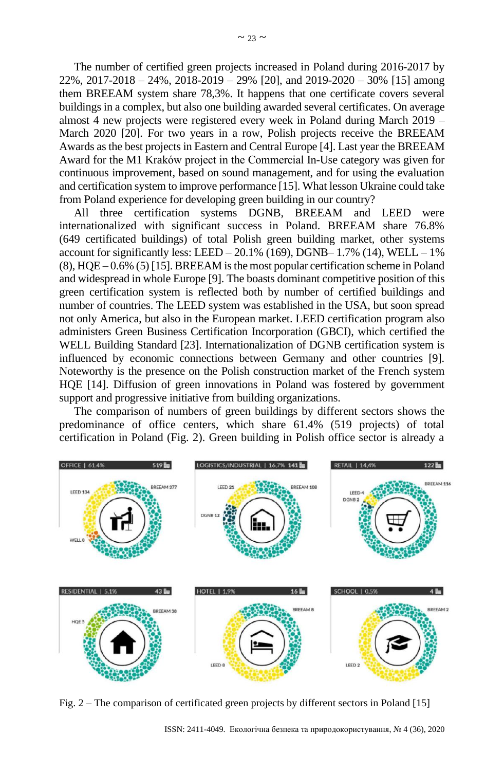The number of certified green projects increased in Poland during 2016-2017 by  $22\%$ ,  $2017-2018 - 24\%$ ,  $2018-2019 - 29\%$  [20], and  $2019-2020 - 30\%$  [15] among them BREEAM system share 78,3%. It happens that one certificate covers several buildings in a complex, but also one building awarded several certificates. On average almost 4 new projects were registered every week in Poland during March 2019 – March 2020 [20]. For two years in a row, Polish projects receive the BREEAM Awards as the best projects in Eastern and Central Europe [4]. Last year the BREEAM Award for the M1 Kraków project in the Commercial In-Use category was given for continuous improvement, based on sound management, and for using the evaluation and certification system to improve performance [15]. What lesson Ukraine could take from Poland experience for developing green building in our country?

All three certification systems DGNB, BREEAM and LEED were internationalized with significant success in Poland. BREEAM share 76.8% (649 certificated buildings) of total Polish green building market, other systems account for significantly less: LEED – 20.1% (169), DGNB–  $1.7\%$  (14), WELL – 1%  $(8)$ , HQE – 0.6% (5) [15]. BREEAM is the most popular certification scheme in Poland and widespread in whole Europe [9]. The boasts dominant competitive position of this green certification system is reflected both by number of certified buildings and number of countries. The LEED system was established in the USA, but soon spread not only America, but also in the European market. LEED certification program also administers Green Business Certification Incorporation (GBCI), which certified the WELL Building Standard [23]. Internationalization of DGNB certification system is influenced by economic connections between Germany and other countries [9]. Noteworthy is the presence on the Polish construction market of the French system HQE [14]. Diffusion of green innovations in Poland was fostered by government support and progressive initiative from building organizations.

The comparison of numbers of green buildings by different sectors shows the predominance of office centers, which share 61.4% (519 projects) of total certification in Poland (Fig. 2). Green building in Polish office sector is already a



Fig. 2 – The comparison of certificated green projects by different sectors in Poland [\[15\]](#page-10-8)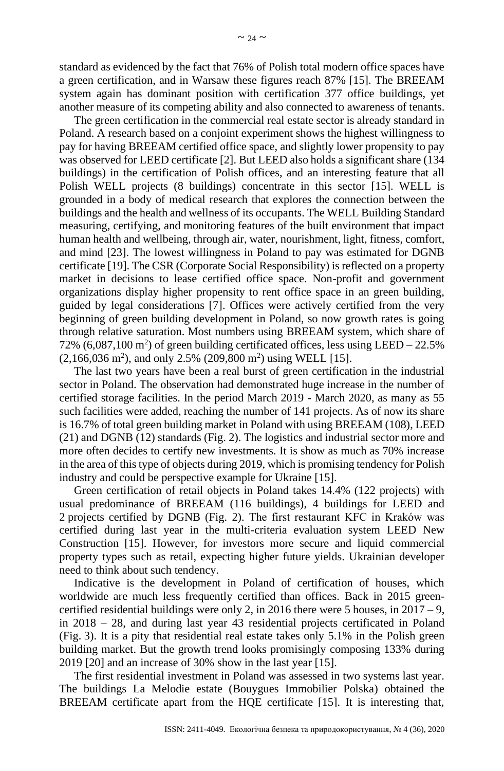standard as evidenced by the fact that 76% of Polish total modern office spaces have a green certification, and in Warsaw these figures reach 87% [15]. The BREEAM system again has dominant position with certification 377 office buildings, yet another measure of its competing ability and also connected to awareness of tenants.

The green certification in the commercial real estate sector is already standard in Poland. A research based on a conjoint experiment shows the highest willingness to pay for having BREEAM certified office space, and slightly lower propensity to pay was observed for LEED certificate [\[2\]](#page-9-0). But LEED also holds a significant share (134 buildings) in the certification of Polish offices, and an interesting feature that all Polish WELL projects (8 buildings) concentrate in this sector [\[15\]](#page-10-8). WELL is grounded in a body of medical research that explores the connection between the buildings and the health and wellness of its occupants. The WELL Building Standard measuring, certifying, and monitoring features of the built environment that impact human health and wellbeing, through air, water, nourishment, light, fitness, comfort, and mind [\[23\]](#page-10-11). The lowest willingness in Poland to pay was estimated for DGNB certificate [\[19\]](#page-10-4). The CSR (Corporate Social Responsibility) is reflected on a property market in decisions to lease certified office space. Non-profit and government organizations display higher propensity to rent office space in an green building, guided by legal considerations [\[7\]](#page-9-3). Offices were actively certified from the very beginning of green building development in Poland, so now growth rates is going through relative saturation. Most numbers using BREEAM system, which share of 72%  $(6,087,100 \text{ m}^2)$  of green building certificated offices, less using LEED – 22.5%  $(2,166,036 \text{ m}^2)$ , and only 2.5%  $(209,800 \text{ m}^2)$  using WELL [\[15\]](#page-10-8).

The last two years have been a real burst of green certification in the industrial sector in Poland. The observation had demonstrated huge increase in the number of certified storage facilities. In the period March 2019 - March 2020, as many as 55 such facilities were added, reaching the number of 141 projects. As of now its share is 16.7% of total green building market in Poland with using BREEAM (108), LEED (21) and DGNB (12) standards (Fig. 2). The logistics and industrial sector more and more often decides to certify new investments. It is show as much as 70% increase in the area of this type of objects during 2019, which is promising tendency for Polish industry and could be perspective example for Ukraine [\[15\]](#page-10-8).

Green certification of retail objects in Poland takes 14.4% (122 projects) with usual predominance of BREEAM (116 buildings), 4 buildings for LEED and 2 projects certified by DGNB (Fig. 2). The first restaurant KFC in Kraków was certified during last year in the multi-criteria evaluation system LEED New Construction [15]. However, for investors more secure and liquid commercial property types such as retail, expecting higher future yields. Ukrainian developer need to think about such tendency.

Indicative is the development in Poland of certification of houses, which worldwide are much less frequently certified than offices. Back in 2015 greencertified residential buildings were only 2, in 2016 there were 5 houses, in  $2017 - 9$ , in 2018 – 28, and during last year 43 residential projects certificated in Poland (Fig. 3). It is a pity that residential real estate takes only 5.1% in the Polish green building market. But the growth trend looks promisingly composing 133% during 2019 [\[20\]](#page-10-12) and an increase of 30% show in the last year [\[15\]](#page-10-8).

The first residential investment in Poland was assessed in two systems last year. The buildings La Melodie estate (Bouygues Immobilier Polska) obtained the BREEAM certificate apart from the HQE certificate [15]. It is interesting that,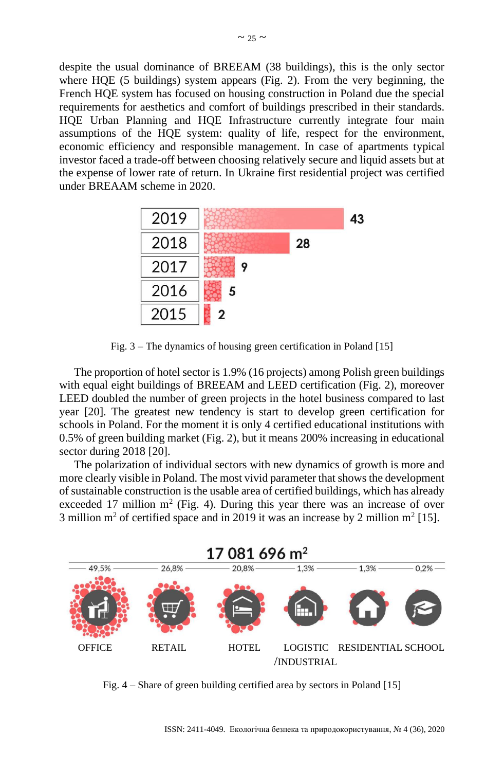despite the usual dominance of BREEAM (38 buildings), this is the only sector where HQE (5 buildings) system appears (Fig. 2). From the very beginning, the French HQE system has focused on housing construction in Poland due the special requirements for aesthetics and comfort of buildings prescribed in their standards. HQE Urban Planning and HQE Infrastructure currently integrate four main assumptions of the HQE system: quality of life, respect for the environment, economic efficiency and responsible management. In case of apartments typical investor faced a trade-off between choosing relatively secure and liquid assets but at the expense of lower rate of return. In Ukraine first residential project was certified under BREAAM scheme in 2020.



Fig. 3 – The dynamics of housing green certification in Poland [\[15\]](#page-10-8)

The proportion of hotel sector is 1.9% (16 projects) among Polish green buildings with equal eight buildings of BREEAM and LEED certification (Fig. 2), moreover LEED doubled the number of green projects in the hotel business compared to last year [20]. The greatest new tendency is start to develop green certification for schools in Poland. For the moment it is only 4 certified educational institutions with 0.5% of green building market (Fig. 2), but it means 200% increasing in educational sector during 2018 [20].

The polarization of individual sectors with new dynamics of growth is more and more clearly visible in Poland. The most vivid parameter that shows the development of sustainable construction is the usable area of certified buildings, which has already exceeded 17 million  $m^2$  (Fig. 4). During this year there was an increase of over 3 million m<sup>2</sup> of certified space and in 2019 it was an increase by 2 million m<sup>2</sup> [15].



Fig. 4 – Share of green building certified area by sectors in Poland [\[15\]](#page-10-8)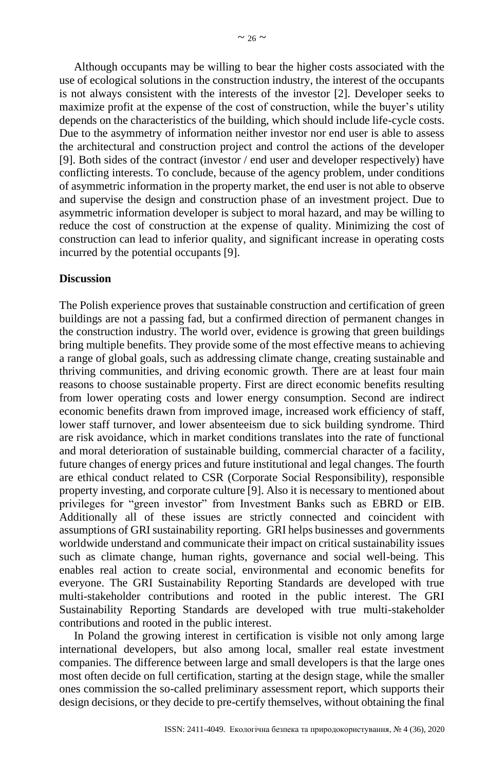Although occupants may be willing to bear the higher costs associated with the use of ecological solutions in the construction industry, the interest of the occupants is not always consistent with the interests of the investor [2]. Developer seeks to maximize profit at the expense of the cost of construction, while the buyer's utility depends on the characteristics of the building, which should include life-cycle costs. Due to the asymmetry of information neither investor nor end user is able to assess the architectural and construction project and control the actions of the developer [9]. Both sides of the contract (investor / end user and developer respectively) have conflicting interests. To conclude, because of the agency problem, under conditions of asymmetric information in the property market, the end user is not able to observe and supervise the design and construction phase of an investment project. Due to asymmetric information developer is subject to moral hazard, and may be willing to reduce the cost of construction at the expense of quality. Minimizing the cost of construction can lead to inferior quality, and significant increase in operating costs incurred by the potential occupants [9].

## **Discussion**

The Polish experience proves that sustainable construction and certification of green buildings are not a passing fad, but a confirmed direction of permanent changes in the construction industry. The world over, evidence is growing that green buildings bring multiple benefits. They provide some of the most effective means to achieving a range of global goals, such as addressing climate change, creating sustainable and thriving communities, and driving economic growth. There are at least four main reasons to choose sustainable property. First are direct economic benefits resulting from lower operating costs and lower energy consumption. Second are indirect economic benefits drawn from improved image, increased work efficiency of staff, lower staff turnover, and lower absenteeism due to sick building syndrome. Third are risk avoidance, which in market conditions translates into the rate of functional and moral deterioration of sustainable building, commercial character of a facility, future changes of energy prices and future institutional and legal changes. The fourth are ethical conduct related to CSR (Corporate Social Responsibility), responsible property investing, and corporate culture [\[9\]](#page-9-1). Also it is necessary to mentioned about privileges for "green investor" from Investment Banks such as EBRD or EIB. Additionally all of these issues are strictly connected and coincident with assumptions of GRI sustainability reporting. GRI helps businesses and governments worldwide understand and communicate their impact on critical sustainability issues such as climate change, human rights, governance and social well-being. This enables real action to create social, environmental and economic benefits for everyone. The GRI Sustainability Reporting Standards are developed with true multi-stakeholder contributions and rooted in the public interest. The GRI Sustainability Reporting Standards are developed with true multi-stakeholder contributions and rooted in the public interest.

In Poland the growing interest in certification is visible not only among large international developers, but also among local, smaller real estate investment companies. The difference between large and small developers is that the large ones most often decide on full certification, starting at the design stage, while the smaller ones commission the so-called preliminary assessment report, which supports their design decisions, or they decide to pre-certify themselves, without obtaining the final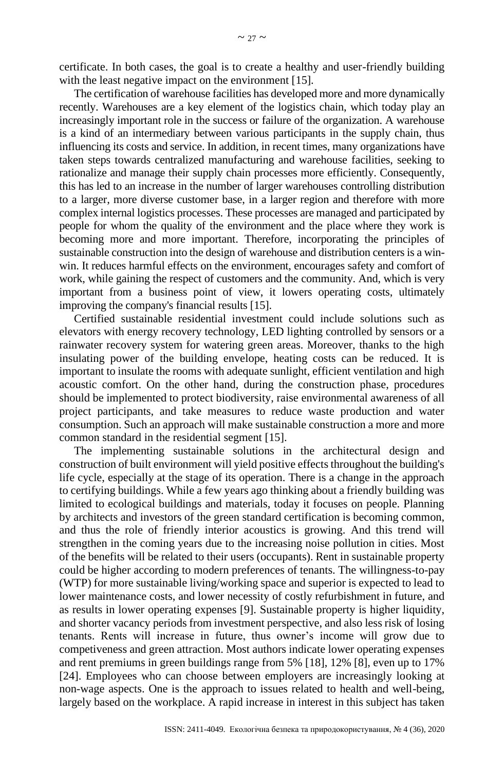certificate. In both cases, the goal is to create a healthy and user-friendly building with the least negative impact on the environment [\[15\]](#page-10-8).

The certification of warehouse facilities has developed more and more dynamically recently. Warehouses are a key element of the logistics chain, which today play an increasingly important role in the success or failure of the organization. A warehouse is a kind of an intermediary between various participants in the supply chain, thus influencing its costs and service. In addition, in recent times, many organizations have taken steps towards centralized manufacturing and warehouse facilities, seeking to rationalize and manage their supply chain processes more efficiently. Consequently, this has led to an increase in the number of larger warehouses controlling distribution to a larger, more diverse customer base, in a larger region and therefore with more complex internal logistics processes. These processes are managed and participated by people for whom the quality of the environment and the place where they work is becoming more and more important. Therefore, incorporating the principles of sustainable construction into the design of warehouse and distribution centers is a winwin. It reduces harmful effects on the environment, encourages safety and comfort of work, while gaining the respect of customers and the community. And, which is very important from a business point of view, it lowers operating costs, ultimately improving the company's financial results [\[15\]](#page-10-8).

Certified sustainable residential investment could include solutions such as elevators with energy recovery technology, LED lighting controlled by sensors or a rainwater recovery system for watering green areas. Moreover, thanks to the high insulating power of the building envelope, heating costs can be reduced. It is important to insulate the rooms with adequate sunlight, efficient ventilation and high acoustic comfort. On the other hand, during the construction phase, procedures should be implemented to protect biodiversity, raise environmental awareness of all project participants, and take measures to reduce waste production and water consumption. Such an approach will make sustainable construction a more and more common standard in the residential segment [15].

The implementing sustainable solutions in the architectural design and construction of built environment will yield positive effects throughout the building's life cycle, especially at the stage of its operation. There is a change in the approach to certifying buildings. While a few years ago thinking about a friendly building was limited to ecological buildings and materials, today it focuses on people. Planning by architects and investors of the green standard certification is becoming common, and thus the role of friendly interior acoustics is growing. And this trend will strengthen in the coming years due to the increasing noise pollution in cities. Most of the benefits will be related to their users (occupants). Rent in sustainable property could be higher according to modern preferences of tenants. The willingness-to-pay (WTP) for more sustainable living/working space and superior is expected to lead to lower maintenance costs, and lower necessity of costly refurbishment in future, and as results in lower operating expenses [\[9\]](#page-9-1). Sustainable property is higher liquidity, and shorter vacancy periods from investment perspective, and also less risk of losing tenants. Rents will increase in future, thus owner's income will grow due to competiveness and green attraction. Most authors indicate lower operating expenses and rent premiums in green buildings range from 5% [\[18\]](#page-10-3), 12% [\[8\]](#page-9-4), even up to 17% [\[24\]](#page-10-6). Employees who can choose between employers are increasingly looking at non-wage aspects. One is the approach to issues related to health and well-being, largely based on the workplace. A rapid increase in interest in this subject has taken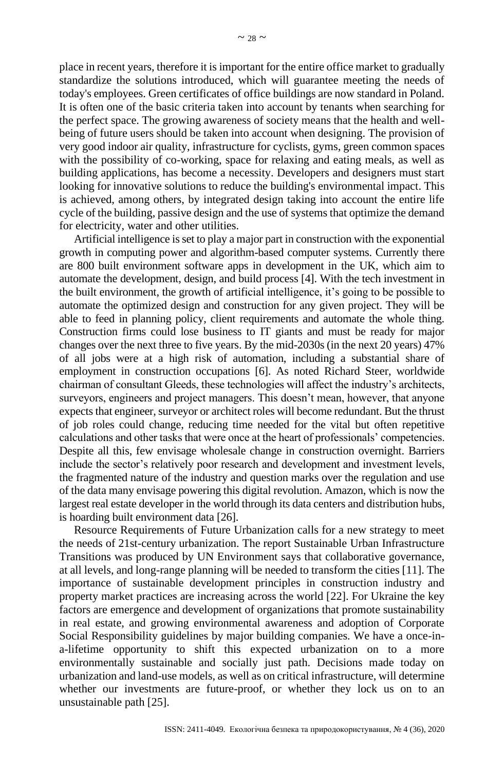place in recent years, therefore it is important for the entire office market to gradually standardize the solutions introduced, which will guarantee meeting the needs of today's employees. Green certificates of office buildings are now standard in Poland. It is often one of the basic criteria taken into account by tenants when searching for the perfect space. The growing awareness of society means that the health and wellbeing of future users should be taken into account when designing. The provision of very good indoor air quality, infrastructure for cyclists, gyms, green common spaces with the possibility of co-working, space for relaxing and eating meals, as well as building applications, has become a necessity. Developers and designers must start looking for innovative solutions to reduce the building's environmental impact. This is achieved, among others, by integrated design taking into account the entire life cycle of the building, passive design and the use of systems that optimize the demand for electricity, water and other utilities.

Artificial intelligence is set to play a major part in construction with the exponential growth in computing power and algorithm-based computer systems. Currently there are 800 built environment software apps in development in the UK, which aim to automate the development, design, and build process [\[4\]](#page-9-6). With the tech investment in the built environment, the growth of artificial intelligence, it's going to be possible to automate the optimized design and construction for any given project. They will be able to feed in planning policy, client requirements and automate the whole thing. Construction firms could lose business to IT giants and must be ready for major changes over the next three to five years. By the mid-2030s (in the next 20 years) 47% of all jobs were at a high risk of automation, including a substantial share of employment in construction occupations [\[6\]](#page-9-8). As noted Richard Steer, worldwide chairman of consultant Gleeds, these technologies will affect the industry's architects, surveyors, engineers and project managers. This doesn't mean, however, that anyone expects that engineer, surveyor or architect roles will become redundant. But the thrust of job roles could change, reducing time needed for the vital but often repetitive calculations and other tasks that were once at the heart of professionals' competencies. Despite all this, few envisage wholesale change in construction overnight. Barriers include the sector's relatively poor research and development and investment levels, the fragmented nature of the industry and question marks over the regulation and use of the data many envisage powering this digital revolution. Amazon, which is now the largest real estate developer in the world through its data centers and distribution hubs, is hoarding built environment data [\[26\]](#page-10-0).

Resource Requirements of Future Urbanization calls for a new strategy to meet the needs of 21st-century urbanization. The report Sustainable Urban Infrastructure Transitions was produced by UN Environment says that collaborative governance, at all levels, and long-range planning will be needed to transform the cities [\[11\]](#page-9-5). The importance of sustainable development principles in construction industry and property market practices are increasing across the world [\[22\]](#page-10-5). For Ukraine the key factors are emergence and development of organizations that promote sustainability in real estate, and growing environmental awareness and adoption of Corporate Social Responsibility guidelines by major building companies. We have a once-ina-lifetime opportunity to shift this expected urbanization on to a more environmentally sustainable and socially just path. Decisions made today on urbanization and land-use models, as well as on critical infrastructure, will determine whether our investments are future-proof, or whether they lock us on to an unsustainable path [\[25\]](#page-10-10).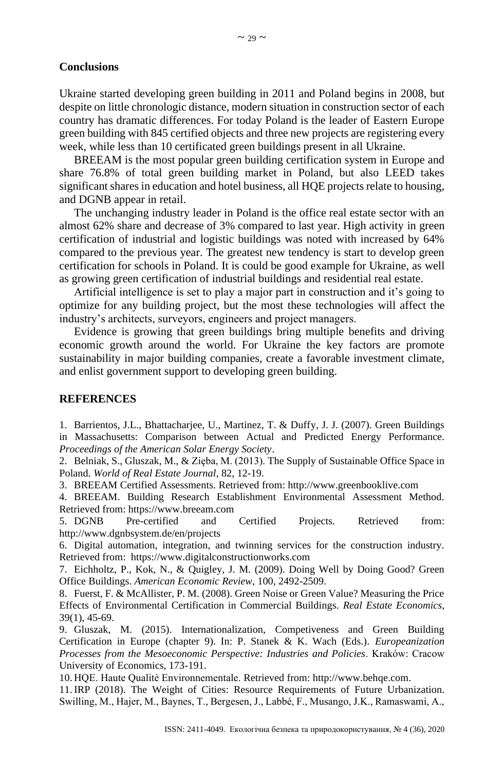## **Conclusions**

Ukraine started developing green building in 2011 and Poland begins in 2008, but despite on little chronologic distance, modern situation in construction sector of each country has dramatic differences. For today Poland is the leader of Eastern Europe green building with 845 certified objects and three new projects are registering every week, while less than 10 certificated green buildings present in all Ukraine.

BREEAM is the most popular green building certification system in Europe and share 76.8% of total green building market in Poland, but also LEED takes significant shares in education and hotel business, all HQE projects relate to housing, and DGNB appear in retail.

The unchanging industry leader in Poland is the office real estate sector with an almost 62% share and decrease of 3% compared to last year. High activity in green certification of industrial and logistic buildings was noted with increased by 64% compared to the previous year. The greatest new tendency is start to develop green certification for schools in Poland. It is could be good example for Ukraine, as well as growing green certification of industrial buildings and residential real estate.

Artificial intelligence is set to play a major part in construction and it's going to optimize for any building project, but the most these technologies will affect the industry's architects, surveyors, engineers and project managers.

Evidence is growing that green buildings bring multiple benefits and driving economic growth around the world. For Ukraine the key factors are promote sustainability in major building companies, create a favorable investment climate, and enlist government support to developing green building.

## **REFERENCES**

<span id="page-9-2"></span>1. Barrientos, J.L., Bhattacharjee, U., Martinez, T. & Duffy, J. J. (2007). Green Buildings in Massachusetts: Comparison between Actual and Predicted Energy Performance. *Proceedings of the American Solar Energy Society*.

<span id="page-9-0"></span>2. Belniak, S., Gluszak, M., & Zięba, M. (2013). The Supply of Sustainable Office Space in Poland. *World of Real Estate Journal*, 82, 12-19.

3. BREEAM Certified Assessments. Retrieved from: http://www.greenbooklive.com

<span id="page-9-6"></span>4. BREEAM. Building Research Establishment Environmental Assessment Method. Retrieved from: https://www.breeam.com

<span id="page-9-7"></span>5. DGNB Pre-certified and Certified Projects. Retrieved from: http://www.dgnbsystem.de/en/projects

<span id="page-9-8"></span>6. Digital automation, integration, and twinning services for the construction industry. Retrieved from: https://www.digitalconstructionworks.com

<span id="page-9-3"></span>7. Eichholtz, P., Kok, N., & Quigley, J. M. (2009). Doing Well by Doing Good? Green Office Buildings. *American Economic Review*, 100, 2492-2509.

<span id="page-9-4"></span>8. Fuerst, F. & McAllister, P. M. (2008). Green Noise or Green Value? Measuring the Price Effects of Environmental Certification in Commercial Buildings. *Real Estate Economics*, 39(1), 45-69.

<span id="page-9-1"></span>9. Gluszak, M. (2015). Internationalization, Competiveness and Green Building Certification in Europe (chapter 9). In: P. Stanek & K. Wach (Eds.). *Europeanization Processes from the Mesoeconomic Perspective: Industries and Policies*. Kraków: Cracow University of Economics, 173-191.

10. HQE. Haute Qualitè Environnementale. Retrieved from: http://www.behqe.com.

<span id="page-9-5"></span>11.IRP (2018). The Weight of Cities: Resource Requirements of Future Urbanization. Swilling, M., Hajer, M., Baynes, T., Bergesen, J., Labbé, F., Musango, J.K., Ramaswami, A.,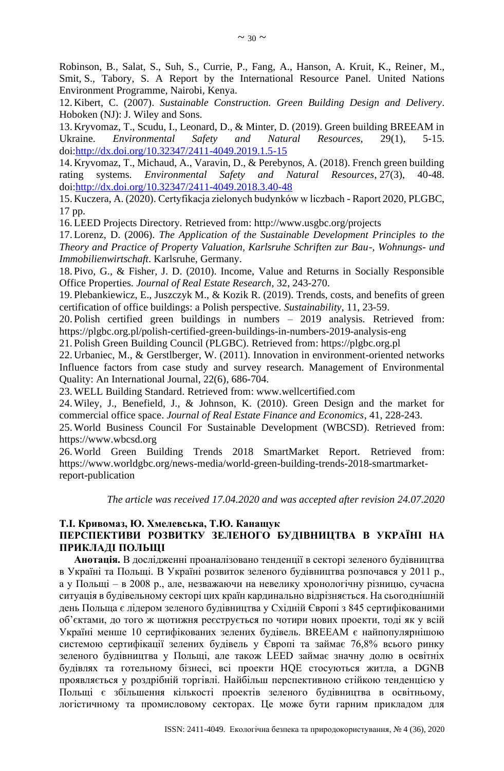Robinson, B., Salat, S., Suh, S., Currie, P., Fang, A., Hanson, A. Kruit, K., Reiner, M., Smit, S., Tabory, S. A Report by the International Resource Panel. United Nations Environment Programme, Nairobi, Kenya.

<span id="page-10-1"></span>12. Kibert, C. (2007). *Sustainable Construction. Green Building Design and Delivery*. Hoboken (NJ): J. Wiley and Sons.

13. Kryvomaz, Т., Scudu, I., Leonard, D., & Minter, D. (2019). Green building BREEAM in Ukraine. *Environmental Safety and Natural Resources*, 29(1), 5-15. doi[:http://dx.doi.org/10.32347/2411-4049.2019.1.5-15](http://dx.doi.org/10.32347/2411-4049.2019.1.5-15)

14. Kryvomaz, Т., Michaud, A., Varavin, D., & Perebynos, A. (2018). French green building rating systems. *Environmental Safety and Natural Resources*, 27(3), 40-48. doi[:http://dx.doi.org/10.32347/2411-4049.2018.3.40-48](http://dx.doi.org/10.32347/2411-4049.2018.3.40-48)

<span id="page-10-8"></span>15. Kuczera, A. (2020). Certyfikacja zielonych budynków w liczbach - Raport 2020, PLGBC, 17 pp.

<span id="page-10-7"></span>16. LEED Projects Directory. Retrieved from: http://www.usgbc.org/projects

<span id="page-10-2"></span>17. Lorenz, D. (2006). *The Application of the Sustainable Development Principles to the Theory and Practice of Property Valuation, Karlsruhe Schriften zur Bau-, Wohnungs- und Immobilienwirtschaft*. Karlsruhe, Germany.

<span id="page-10-3"></span>18. Pivo, G., & Fisher, J. D. (2010). Income, Value and Returns in Socially Responsible Office Properties. *Journal of Real Estate Research*, 32, 243-270.

<span id="page-10-4"></span>19. Plebankiewicz, E., Juszczyk M., & Kozik R. (2019). Trends, costs, and benefits of green certification of office buildings: a Polish perspective. *Sustainability*, 11, 23-59.

<span id="page-10-12"></span>20. Polish certified green buildings in numbers – 2019 analysis. Retrieved from: [https://plgbc.org.pl/polish-certified-green-buildings-in-numbers-2019-analysis-eng](https://plgbc.org.pl/polish-certified-green-buildings-in-numbers-2019-analysis-eng/)

<span id="page-10-9"></span>21. Polish Green Building Council (PLGBC). Retrieved from: https://plgbc.org.pl

<span id="page-10-5"></span>22. Urbaniec, M., & Gerstlberger, W. (2011). Innovation in environment-oriented networks Influence factors from case study and survey research. Management of Environmental Quality: An International Journal, 22(6), 686-704.

<span id="page-10-11"></span>23. WELL Building Standard. Retrieved from: www.wellcertified.com

<span id="page-10-6"></span>24. Wiley, J., Benefield, J., & Johnson, K. (2010). Green Design and the market for commercial office space. *Journal of Real Estate Finance and Economics*, 41, 228-243.

<span id="page-10-10"></span>25. World Business Council For Sustainable Development (WBCSD). Retrieved from: https://www.wbcsd.org

<span id="page-10-0"></span>26. World Green Building Trends 2018 SmartMarket Report. Retrieved from: https://www.worldgbc.org/news-media/world-green-building-trends-2018-smartmarketreport-publication

*The article was received 17.04.2020 and was accepted after revision 24.07.2020*

### **Т.І. Кривомаз, Ю. Хмелевська, Т.Ю. Канащук ПЕРСПЕКТИВИ РОЗВИТКУ ЗЕЛЕНОГО БУДІВНИЦТВА В УКРАЇНІ НА ПРИКЛАДІ ПОЛЬЩІ**

**Анотація.** В дослідженні проаналізовано тенденції в секторі зеленого будівництва в Україні та Польщі. В Україні розвиток зеленого будівництва розпочався у 2011 р., а у Польщі – в 2008 р., але, незважаючи на невелику хронологічну різницю, сучасна ситуація в будівельному секторі цих країн кардинально відрізняється. На сьогоднішній день Польща є лідером зеленого будівництва у Східній Європі з 845 сертифікованими об'єктами, до того ж щотижня реєструється по чотири нових проекти, тоді як у всій Україні менше 10 сертифікованих зелених будівель. BREEAM є найпопулярнішою системою сертифікації зелених будівель у Європі та займає 76,8% всього ринку зеленого будівництва у Польщі, але також LEED займає значну долю в освітніх будівлях та готельному бізнесі, всі проекти HQE стосуються житла, а DGNB проявляється у роздрібній торгівлі. Найбільш перспективною стійкою тенденцією у Польщі є збільшення кількості проектів зеленого будівництва в освітньому, логістичному та промисловому секторах. Це може бути гарним прикладом для